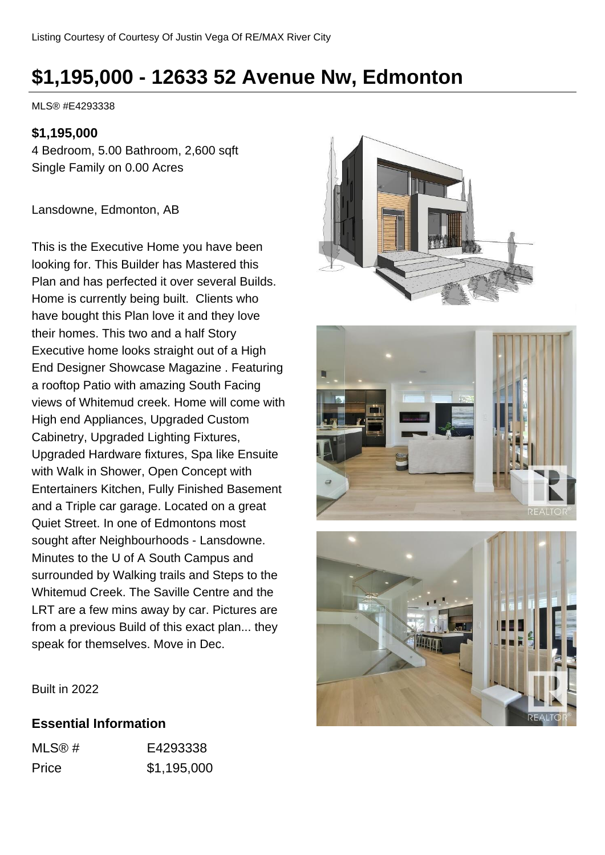# **\$1,195,000 - 12633 52 Avenue Nw, Edmonton**

MLS® #E4293338

#### **\$1,195,000**

4 Bedroom, 5.00 Bathroom, 2,600 sqft Single Family on 0.00 Acres

Lansdowne, Edmonton, AB

This is the Executive Home you have been looking for. This Builder has Mastered this Plan and has perfected it over several Builds. Home is currently being built. Clients who have bought this Plan love it and they love their homes. This two and a half Story Executive home looks straight out of a High End Designer Showcase Magazine . Featuring a rooftop Patio with amazing South Facing views of Whitemud creek. Home will come with High end Appliances, Upgraded Custom Cabinetry, Upgraded Lighting Fixtures, Upgraded Hardware fixtures, Spa like Ensuite with Walk in Shower, Open Concept with Entertainers Kitchen, Fully Finished Basement and a Triple car garage. Located on a great Quiet Street. In one of Edmontons most sought after Neighbourhoods - Lansdowne. Minutes to the U of A South Campus and surrounded by Walking trails and Steps to the Whitemud Creek. The Saville Centre and the LRT are a few mins away by car. Pictures are from a previous Build of this exact plan... they speak for themselves. Move in Dec.







Built in 2022

#### **Essential Information**

| MLS@# | E4293338    |
|-------|-------------|
| Price | \$1,195,000 |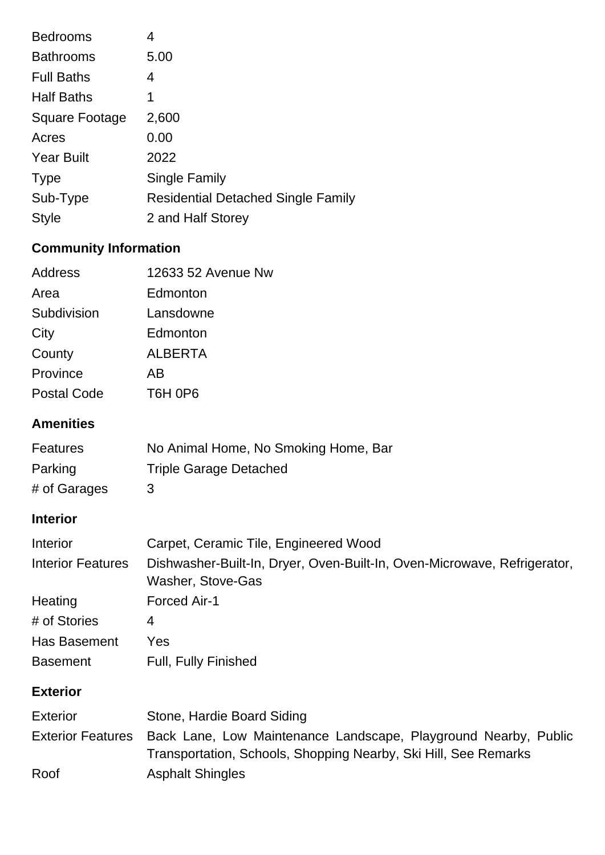| <b>Bedrooms</b>       | 4                                         |
|-----------------------|-------------------------------------------|
| <b>Bathrooms</b>      | 5.00                                      |
| <b>Full Baths</b>     | 4                                         |
| <b>Half Baths</b>     | 1                                         |
| <b>Square Footage</b> | 2,600                                     |
| Acres                 | 0.00                                      |
| <b>Year Built</b>     | 2022                                      |
| <b>Type</b>           | Single Family                             |
| Sub-Type              | <b>Residential Detached Single Family</b> |
| <b>Style</b>          | 2 and Half Storey                         |

## **Community Information**

| Address            | 12633 52 Avenue Nw                           |
|--------------------|----------------------------------------------|
| Area               | Edmonton                                     |
| Subdivision        | Lansdowne                                    |
| City               | Edmonton                                     |
| County             | <b>ALBERTA</b>                               |
| Province           | AB                                           |
| <b>Postal Code</b> | T <sub>6</sub> H <sub>0</sub> P <sub>6</sub> |

### **Amenities**

| <b>Features</b> | No Animal Home, No Smoking Home, Bar |
|-----------------|--------------------------------------|
| Parking         | <b>Triple Garage Detached</b>        |
| # of Garages    | ર                                    |

### **Interior**

| Interior                 | Carpet, Ceramic Tile, Engineered Wood                                                         |
|--------------------------|-----------------------------------------------------------------------------------------------|
| <b>Interior Features</b> | Dishwasher-Built-In, Dryer, Oven-Built-In, Oven-Microwave, Refrigerator,<br>Washer, Stove-Gas |
| Heating                  | Forced Air-1                                                                                  |
| # of Stories             | 4                                                                                             |
| Has Basement             | Yes                                                                                           |
| <b>Basement</b>          | <b>Full, Fully Finished</b>                                                                   |

### **Exterior**

| <b>Exterior</b> | Stone, Hardie Board Siding                                                                                                                           |
|-----------------|------------------------------------------------------------------------------------------------------------------------------------------------------|
|                 | Exterior Features Back Lane, Low Maintenance Landscape, Playground Nearby, Public<br>Transportation, Schools, Shopping Nearby, Ski Hill, See Remarks |
| Roof            | <b>Asphalt Shingles</b>                                                                                                                              |